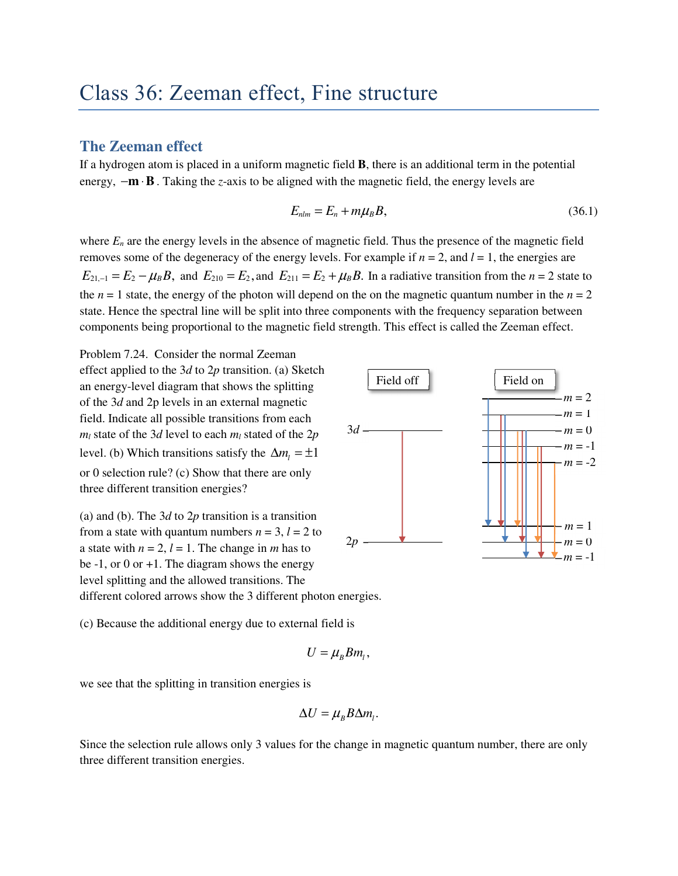## Class 36: Zeeman effect, Fine structure

## **The Zeeman effect**

If a hydrogen atom is placed in a uniform magnetic field **B**, there is an additional term in the potential energy,  $-\mathbf{m} \cdot \mathbf{B}$ . Taking the *z*-axis to be aligned with the magnetic field, the energy levels are

$$
E_{nlm} = E_n + m\mu_B B, \tag{36.1}
$$

where  $E<sub>n</sub>$  are the energy levels in the absence of magnetic field. Thus the presence of the magnetic field removes some of the degeneracy of the energy levels. For example if  $n = 2$ , and  $l = 1$ , the energies are  $E_{21,-1} = E_2 - \mu_B B$ , and  $E_{210} = E_2$ , and  $E_{211} = E_2 + \mu_B B$ . In a radiative transition from the *n* = 2 state to the  $n = 1$  state, the energy of the photon will depend on the on the magnetic quantum number in the  $n = 2$ state. Hence the spectral line will be split into three components with the frequency separation between components being proportional to the magnetic field strength. This effect is called the Zeeman effect.

Problem 7.24. Consider the normal Zeeman effect applied to the 3*d* to 2*p* transition. (a) Sketch an energy-level diagram that shows the splitting of the 3*d* and 2p levels in an external magnetic field. Indicate all possible transitions from each *m*<sub>*l*</sub> state of the 3*d* level to each  $m_l$  stated of the 2*p* level. (b) Which transitions satisfy the  $\Delta m_i = \pm 1$ or 0 selection rule? (c) Show that there are only three different transition energies?

(a) and (b). The 3*d* to 2*p* transition is a transition from a state with quantum numbers  $n = 3$ ,  $l = 2$  to a state with  $n = 2$ ,  $l = 1$ . The change in *m* has to be  $-1$ , or 0 or  $+1$ . The diagram shows the energy level splitting and the allowed transitions. The different colored arrows show the 3 different photon energies.

(c) Because the additional energy due to external field is

$$
U=\mu_B B m_l,
$$

we see that the splitting in transition energies is

$$
\Delta U = \mu_B B \Delta m_l.
$$

Since the selection rule allows only 3 values for the change in magnetic quantum number, there are only three different transition energies.

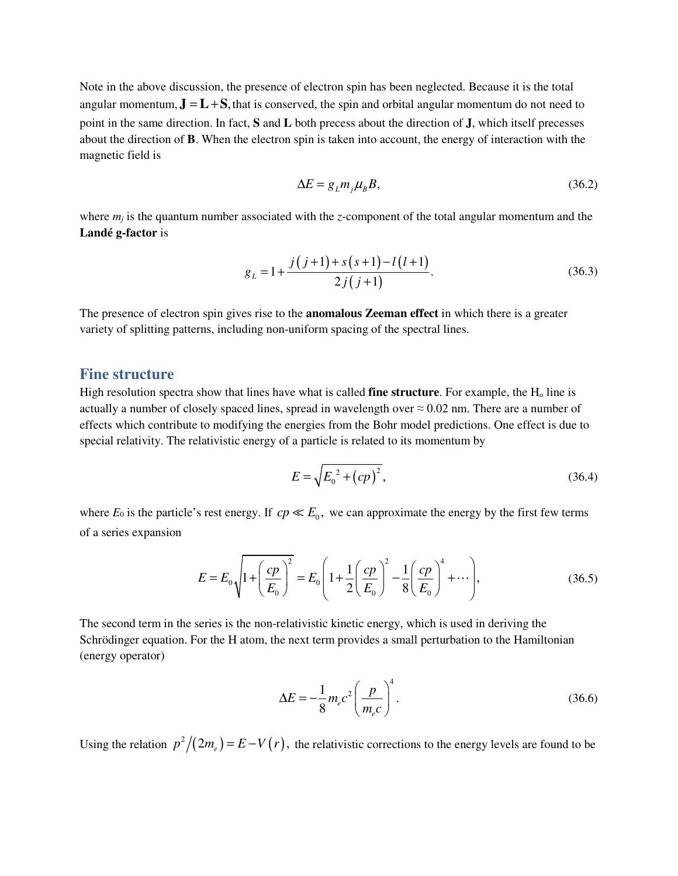Note in the above discussion, the presence of electron spin has been neglected. Because it is the total angular momentum,  $\mathbf{J} = \mathbf{L} + \mathbf{S}$ , that is conserved, the spin and orbital angular momentum do not need to point in the same direction. In fact, **S** and **L** both precess about the direction of **J**, which itself precesses about the direction of **B**. When the electron spin is taken into account, the energy of interaction with the magnetic field is

$$
\Delta E = g_L m_j \mu_B B, \tag{36.2}
$$

where  $m_j$  is the quantum number associated with the *z*-component of the total angular momentum and the **Landé g-factor** is

$$
g_L = 1 + \frac{j(j+1) + s(s+1) - l(l+1)}{2j(j+1)}.
$$
\n(36.3)

The presence of electron spin gives rise to the **anomalous Zeeman effect** in which there is a greater variety of splitting patterns, including non-uniform spacing of the spectral lines.

## **Fine structure**

High resolution spectra show that lines have what is called **fine structure**. For example, the  $H_\alpha$  line is actually a number of closely spaced lines, spread in wavelength over  $\approx 0.02$  nm. There are a number of effects which contribute to modifying the energies from the Bohr model predictions. One effect is due to special relativity. The relativistic energy of a particle is related to its momentum by

$$
E = \sqrt{E_0^2 + (cp)^2},\tag{36.4}
$$

where  $E_0$  is the particle's rest energy. If  $cp \ll E_0$ , we can approximate the energy by the first few terms of a series expansion

$$
E = E_0 \sqrt{1 + \left(\frac{cp}{E_0}\right)^2} = E_0 \left(1 + \frac{1}{2}\left(\frac{cp}{E_0}\right)^2 - \frac{1}{8}\left(\frac{cp}{E_0}\right)^4 + \cdots\right),\tag{36.5}
$$

The second term in the series is the non-relativistic kinetic energy, which is used in deriving the Schrödinger equation. For the H atom, the next term provides a small perturbation to the Hamiltonian (energy operator)

$$
\Delta E = -\frac{1}{8} m_e c^2 \left(\frac{p}{m_e c}\right)^4.
$$
\n(36.6)

Using the relation  $p^2/(2m_e) = E - V(r)$ , the relativistic corrections to the energy levels are found to be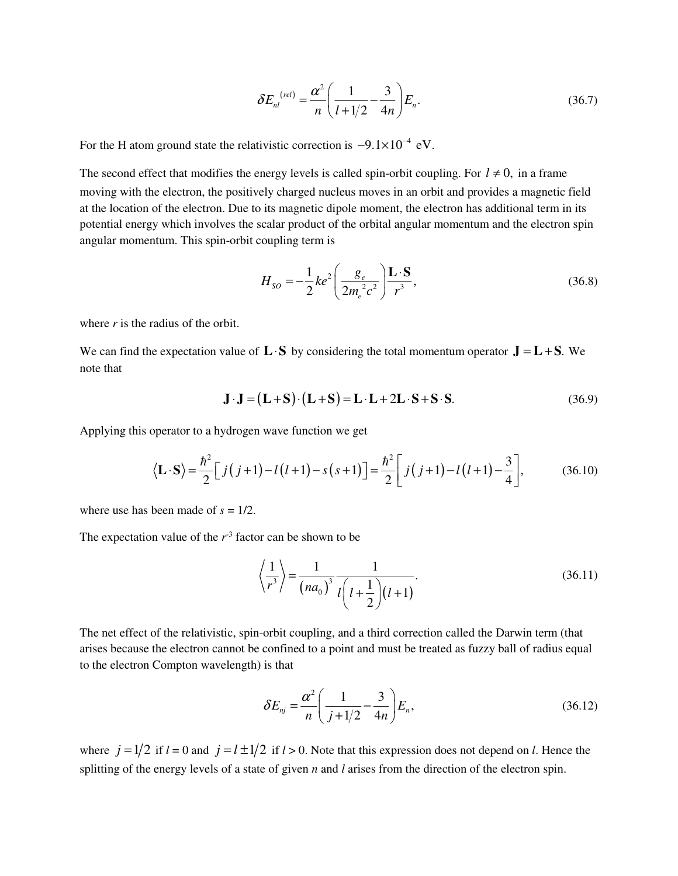$$
\delta E_{nl}^{(rel)} = \frac{\alpha^2}{n} \left( \frac{1}{l + 1/2} - \frac{3}{4n} \right) E_n.
$$
 (36.7)

For the H atom ground state the relativistic correction is  $-9.1 \times 10^{-4}$  eV.

The second effect that modifies the energy levels is called spin-orbit coupling. For  $l \neq 0$ , in a frame moving with the electron, the positively charged nucleus moves in an orbit and provides a magnetic field at the location of the electron. Due to its magnetic dipole moment, the electron has additional term in its potential energy which involves the scalar product of the orbital angular momentum and the electron spin angular momentum. This spin-orbit coupling term is

$$
H_{SO} = -\frac{1}{2}ke^2 \left(\frac{g_e}{2m_e^2c^2}\right) \frac{\mathbf{L} \cdot \mathbf{S}}{r^3},\tag{36.8}
$$

where *r* is the radius of the orbit.

We can find the expectation value of  $\mathbf{L} \cdot \mathbf{S}$  by considering the total momentum operator  $\mathbf{J} = \mathbf{L} + \mathbf{S}$ . We note that

$$
\mathbf{J} \cdot \mathbf{J} = (\mathbf{L} + \mathbf{S}) \cdot (\mathbf{L} + \mathbf{S}) = \mathbf{L} \cdot \mathbf{L} + 2\mathbf{L} \cdot \mathbf{S} + \mathbf{S} \cdot \mathbf{S}.
$$
 (36.9)

Applying this operator to a hydrogen wave function we get

$$
\langle \mathbf{L} \cdot \mathbf{S} \rangle = \frac{\hbar^2}{2} \Big[ j(j+1) - l(l+1) - s(s+1) \Big] = \frac{\hbar^2}{2} \Big[ j(j+1) - l(l+1) - \frac{3}{4} \Big], \tag{36.10}
$$

where use has been made of  $s = 1/2$ .

The expectation value of the  $r<sup>3</sup>$  factor can be shown to be

$$
\left\langle \frac{1}{r^3} \right\rangle = \frac{1}{(na_0)^3} \frac{1}{l \left( l + \frac{1}{2} \right) (l+1)}.
$$
 (36.11)

The net effect of the relativistic, spin-orbit coupling, and a third correction called the Darwin term (that arises because the electron cannot be confined to a point and must be treated as fuzzy ball of radius equal to the electron Compton wavelength) is that

$$
\delta E_{nj} = \frac{\alpha^2}{n} \left( \frac{1}{j + 1/2} - \frac{3}{4n} \right) E_n,
$$
\n(36.12)

where  $j = 1/2$  if  $l = 0$  and  $j = l \pm 1/2$  if  $l > 0$ . Note that this expression does not depend on *l*. Hence the splitting of the energy levels of a state of given *n* and *l* arises from the direction of the electron spin.